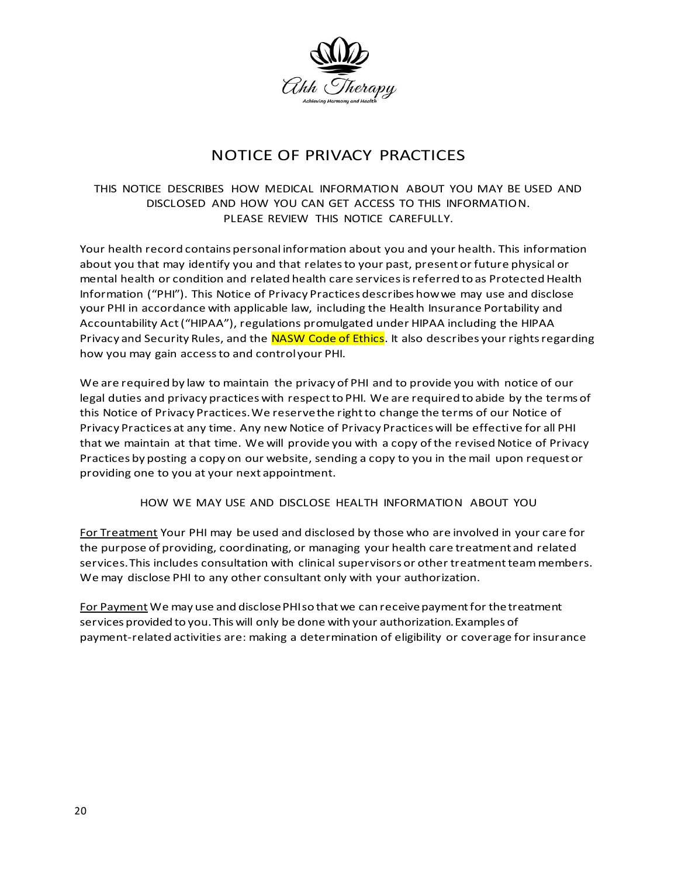

## NOTICE OF PRIVACY PRACTICES

## THIS NOTICE DESCRIBES HOW MEDICAL INFORMATION ABOUT YOU MAY BE USED AND DISCLOSED AND HOW YOU CAN GET ACCESS TO THIS INFORMATION. PLEASE REVIEW THIS NOTICE CAREFULLY.

Your health record contains personal information about you and your health. This information about you that may identify you and that relates to your past, present or future physical or mental health or condition and related health care services is referred to as Protected Health Information ("PHI"). This Notice of Privacy Practices describes how we may use and disclose your PHI in accordance with applicable law, including the Health Insurance Portability and Accountability Act ("HIPAA"), regulations promulgated under HIPAA including the HIPAA Privacy and Security Rules, and the NASW Code of Ethics. It also describes your rights regarding how you may gain access to and control your PHI.

We are required by law to maintain the privacy of PHI and to provide you with notice of our legal duties and privacy practices with respect to PHI. We are required to abide by the terms of this Notice of Privacy Practices. We reserve the right to change the terms of our Notice of Privacy Practices at any time. Any new Notice of Privacy Practices will be effective for all PHI that we maintain at that time. We will provide you with a copy of the revised Notice of Privacy Practices by posting a copy on our website, sending a copy to you in the mail upon request or providing one to you at your next appointment.

HOW WE MAY USE AND DISCLOSE HEALTH INFORMATION ABOUT YOU

For Treatment Your PHI may be used and disclosed by those who are involved in your care for the purpose of providing, coordinating, or managing your health care treatment and related services. This includes consultation with clinical supervisors or other treatment team members. We may disclose PHI to any other consultant only with your authorization.

For Payment We may use and disclose PHI so that we can receive payment for the treatment services provided to you. This will only be done with your authorization. Examples of payment-related activities are: making a determination of eligibility or coverage for insurance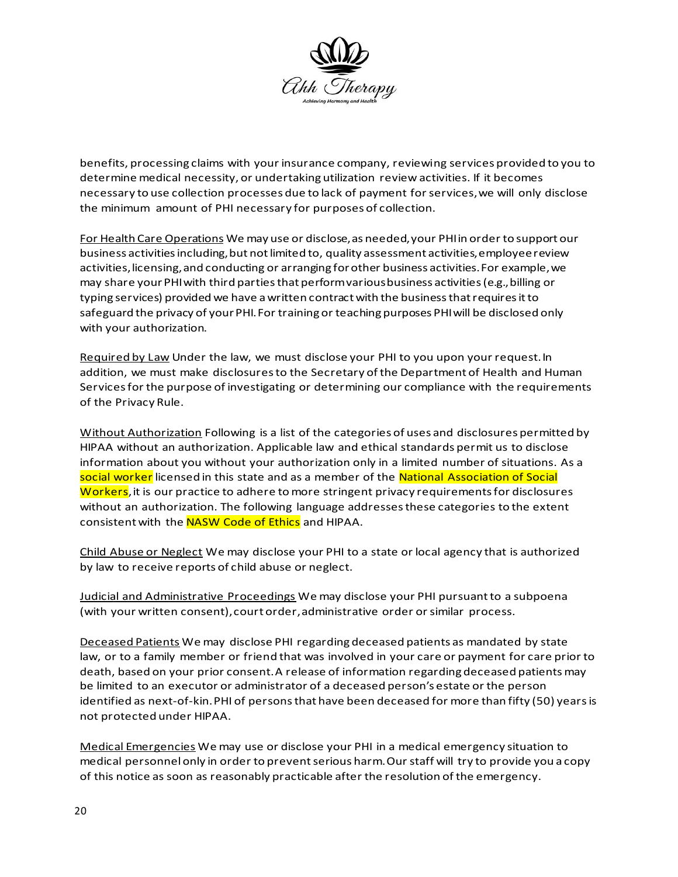

benefits, processing claims with your insurance company, reviewing services provided to you to determine medical necessity, or undertaking utilization review activities. If it becomes necessary to use collection processes due to lack of payment for services, we will only disclose the minimum amount of PHI necessary for purposes of collection.

For Health Care Operations We may use or disclose, as needed, your PHI in order to support our business activities including, but not limited to, quality assessment activities, employee review activities, licensing, and conducting or arranging for other business activities. For example, we may share your PHI with third parties that perform various business activities (e.g., billing or typing services) provided we have a written contract with the business that requires it to safeguard the privacy of your PHI. For training or teaching purposes PHI will be disclosed only with your authorization.

Required by Law Under the law, we must disclose your PHI to you upon your request. In addition, we must make disclosures to the Secretary of the Department of Health and Human Services for the purpose of investigating or determining our compliance with the requirements of the Privacy Rule.

Without Authorization Following is a list of the categories of uses and disclosures permitted by HIPAA without an authorization. Applicable law and ethical standards permit us to disclose information about you without your authorization only in a limited number of situations. As a social worker licensed in this state and as a member of the National Association of Social Workers, it is our practice to adhere to more stringent privacy requirements for disclosures without an authorization. The following language addresses these categories to the extent consistent with the NASW Code of Ethics and HIPAA.

Child Abuse or Neglect We may disclose your PHI to a state or local agency that is authorized by law to receive reports of child abuse or neglect.

Judicial and Administrative Proceedings We may disclose your PHI pursuant to a subpoena (with your written consent), court order, administrative order or similar process.

Deceased Patients We may disclose PHI regarding deceased patients as mandated by state law, or to a family member or friend that was involved in your care or payment for care prior to death, based on your prior consent. A release of information regarding deceased patients may be limited to an executor or administrator of a deceased person's estate or the person identified as next-of-kin.PHI of personsthat have been deceased for more than fifty (50) yearsis not protected under HIPAA.

Medical Emergencies We may use or disclose your PHI in a medical emergency situation to medical personnelonly in order to preventserious harm.Ourstaff will try to provide you a copy of this notice as soon as reasonably practicable after the resolution ofthe emergency.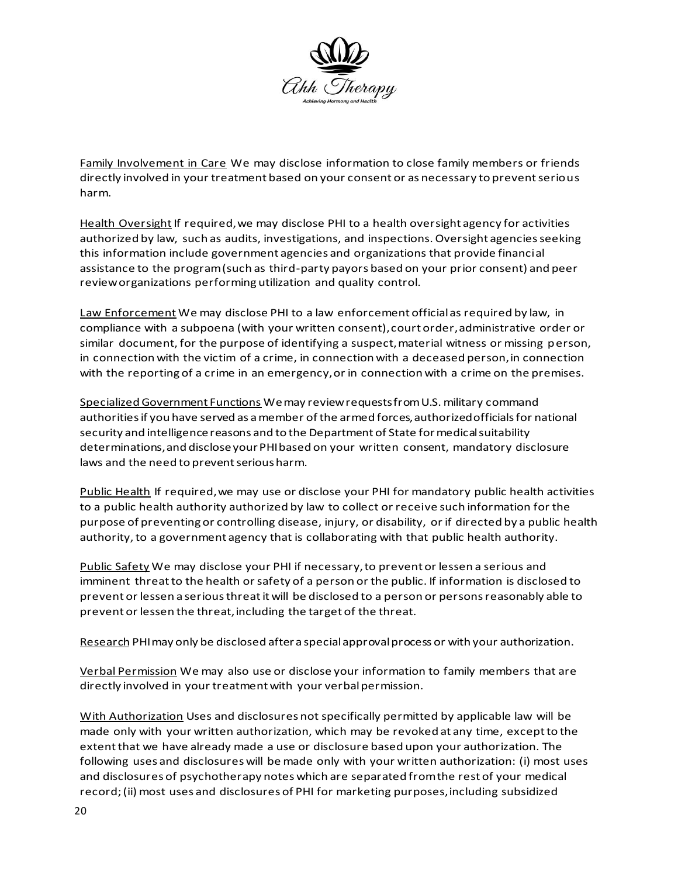

Family Involvement in Care We may disclose information to close family members or friends directly involved in your treatment based on your consent or as necessary to preventserious harm.

Health Oversight If required, we may disclose PHI to a health oversight agency for activities authorized by law, such as audits, investigations, and inspections. Oversight agencies seeking this information include government agencies and organizations that provide financial assistance to the program (such as third-party payors based on your prior consent) and peer review organizations performing utilization and quality control.

Law Enforcement We may disclose PHI to a law enforcement official as required by law, in compliance with a subpoena (with your written consent), court order, administrative order or similar document, for the purpose of identifying a suspect, material witness or missing person, in connection with the victim of a crime, in connection with a deceased person, in connection with the reporting of a crime in an emergency, or in connection with a crime on the premises.

Specialized Government Functions We may review requests fromU.S. military command authorities if you have served as a member of the armed forces, authorized officials for national security and intelligence reasons and to the Department of State for medical suitability determinations, and disclose your PHI based on your written consent, mandatory disclosure laws and the need to prevent serious harm.

Public Health If required, we may use or disclose your PHI for mandatory public health activities to a public health authority authorized by law to collect or receive such information for the purpose of preventing or controlling disease, injury, or disability, or if directed by a public health authority, to a government agency that is collaborating with that public health authority.

Public Safety We may disclose your PHI if necessary, to prevent or lessen a serious and imminent threat to the health or safety of a person or the public. If information is disclosed to prevent or lessen a seriousthreatitwill be disclosed to a person or personsreasonably able to prevent or lessen the threat,including the target of the threat.

Research PHI may only be disclosed after a special approval process or with your authorization.

Verbal Permission We may also use or disclose your information to family members that are directly involved in your treatment with your verbal permission.

With Authorization Uses and disclosures not specifically permitted by applicable law will be made only with your written authorization, which may be revoked at any time, except to the extent that we have already made a use or disclosure based upon your authorization. The following uses and disclosures will be made only with your written authorization: (i) most uses and disclosures of psychotherapy notes which are separated from the rest of your medical record; (ii) most uses and disclosures of PHI for marketing purposes, including subsidized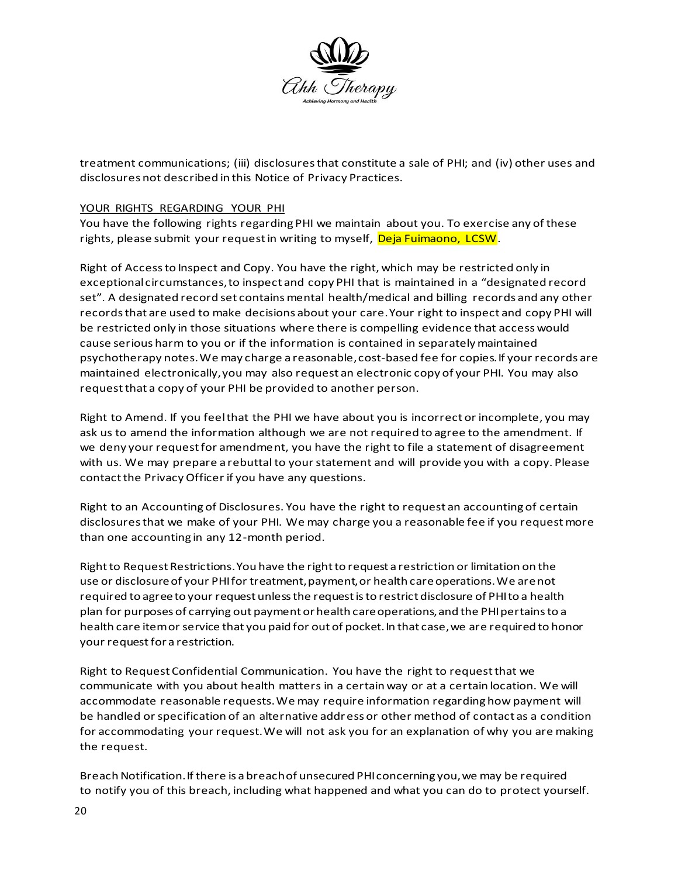

treatment communications; (iii) disclosures that constitute a sale of PHI; and (iv) other uses and disclosures not described in this Notice of Privacy Practices.

## YOUR RIGHTS REGARDING YOUR PHI

You have the following rights regarding PHI we maintain about you. To exercise any of these rights, please submit your request in writing to myself, Deja Fuimaono, LCSW.

Right of Access to Inspect and Copy. You have the right, which may be restricted only in exceptional circumstances, to inspect and copy PHI that is maintained in a "designated record set". A designated record set contains mental health/medical and billing records and any other records that are used to make decisions about your care. Your right to inspect and copy PHI will be restricted only in those situations where there is compelling evidence that access would cause serious harm to you or if the information is contained in separately maintained psychotherapy notes. We may charge a reasonable, cost-based fee for copies. If your records are maintained electronically, you may also request an electronic copy of your PHI. You may also request that a copy of your PHI be provided to another person.

Right to Amend. If you feel that the PHI we have about you is incorrect or incomplete, you may ask us to amend the information although we are not required to agree to the amendment. If we deny your request for amendment, you have the right to file a statement of disagreement with us. We may prepare a rebuttal to your statement and will provide you with a copy. Please contact the Privacy Officer if you have any questions.

Right to an Accounting of Disclosures. You have the right to request an accounting of certain disclosures that we make of your PHI. We may charge you a reasonable fee if you request more than one accounting in any 12-month period.

Right to Request Restrictions. You have the right to request a restriction or limitation on the use or disclosure of your PHI for treatment, payment, or health care operations. We are not required to agree to your request unless the request is to restrict disclosure of PHI to a health plan for purposes of carrying out payment or health care operations, and the PHI pertains to a health care item or service that you paid for out of pocket. In that case, we are required to honor your request for a restriction.

Right to Request Confidential Communication. You have the right to request that we communicate with you about health matters in a certain way or at a certain location. We will accommodate reasonable requests. We may require information regarding how payment will be handled or specification of an alternative address or other method of contact as a condition for accommodating your request. We will not ask you for an explanation of why you are making the request.

Breach Notification. If there is a breach of unsecured PHI concerning you, we may be required to notify you of this breach, including what happened and what you can do to protect yourself.